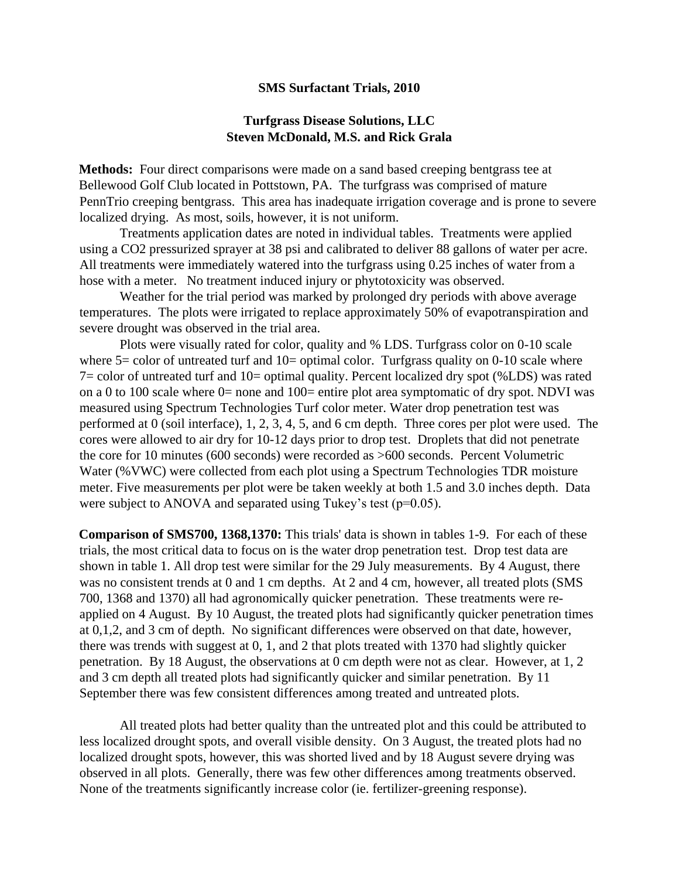## **SMS Surfactant Trials, 2010**

## **Turfgrass Disease Solutions, LLC Steven McDonald, M.S. and Rick Grala**

**Methods:** Four direct comparisons were made on a sand based creeping bentgrass tee at Bellewood Golf Club located in Pottstown, PA. The turfgrass was comprised of mature PennTrio creeping bentgrass. This area has inadequate irrigation coverage and is prone to severe localized drying. As most, soils, however, it is not uniform.

Treatments application dates are noted in individual tables. Treatments were applied using a CO2 pressurized sprayer at 38 psi and calibrated to deliver 88 gallons of water per acre. All treatments were immediately watered into the turfgrass using 0.25 inches of water from a hose with a meter. No treatment induced injury or phytotoxicity was observed.

Weather for the trial period was marked by prolonged dry periods with above average temperatures. The plots were irrigated to replace approximately 50% of evapotranspiration and severe drought was observed in the trial area.

Plots were visually rated for color, quality and % LDS. Turfgrass color on 0-10 scale where  $5 =$  color of untreated turf and  $10 =$  optimal color. Turfgrass quality on 0-10 scale where 7= color of untreated turf and 10= optimal quality. Percent localized dry spot (%LDS) was rated on a 0 to 100 scale where  $0=$  none and 100= entire plot area symptomatic of dry spot. NDVI was measured using Spectrum Technologies Turf color meter. Water drop penetration test was performed at 0 (soil interface), 1, 2, 3, 4, 5, and 6 cm depth. Three cores per plot were used. The cores were allowed to air dry for 10-12 days prior to drop test. Droplets that did not penetrate the core for 10 minutes (600 seconds) were recorded as >600 seconds. Percent Volumetric Water (%VWC) were collected from each plot using a Spectrum Technologies TDR moisture meter. Five measurements per plot were be taken weekly at both 1.5 and 3.0 inches depth. Data were subject to ANOVA and separated using Tukey's test (p=0.05).

**Comparison of SMS700, 1368,1370:** This trials' data is shown in tables 1-9. For each of these trials, the most critical data to focus on is the water drop penetration test. Drop test data are shown in table 1. All drop test were similar for the 29 July measurements. By 4 August, there was no consistent trends at 0 and 1 cm depths. At 2 and 4 cm, however, all treated plots (SMS 700, 1368 and 1370) all had agronomically quicker penetration. These treatments were reapplied on 4 August. By 10 August, the treated plots had significantly quicker penetration times at 0,1,2, and 3 cm of depth. No significant differences were observed on that date, however, there was trends with suggest at 0, 1, and 2 that plots treated with 1370 had slightly quicker penetration. By 18 August, the observations at 0 cm depth were not as clear. However, at 1, 2 and 3 cm depth all treated plots had significantly quicker and similar penetration. By 11 September there was few consistent differences among treated and untreated plots.

All treated plots had better quality than the untreated plot and this could be attributed to less localized drought spots, and overall visible density. On 3 August, the treated plots had no localized drought spots, however, this was shorted lived and by 18 August severe drying was observed in all plots. Generally, there was few other differences among treatments observed. None of the treatments significantly increase color (ie. fertilizer-greening response).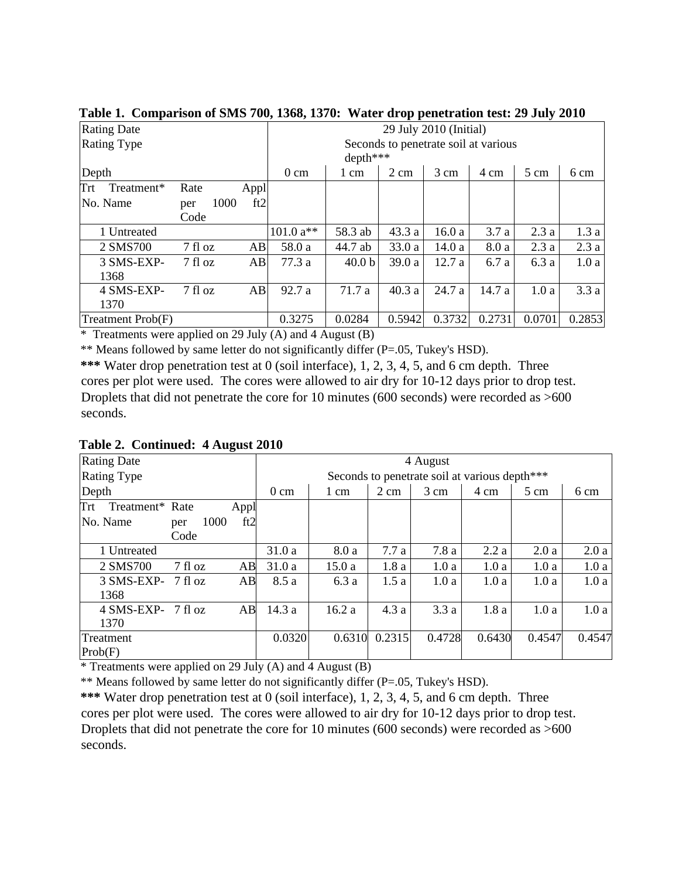| <b>Rating Date</b> |             |      | 29 July 2010 (Initial)               |                   |                |        |        |                |        |  |
|--------------------|-------------|------|--------------------------------------|-------------------|----------------|--------|--------|----------------|--------|--|
| <b>Rating Type</b> |             |      | Seconds to penetrate soil at various |                   |                |        |        |                |        |  |
|                    |             |      |                                      | depth***          |                |        |        |                |        |  |
| Depth              |             |      | $0 \text{ cm}$                       | 1 cm              | $2 \text{ cm}$ | 3 cm   | 4 cm   | $5 \text{ cm}$ | 6 cm   |  |
| Trt<br>Treatment*  | Rate        | Appl |                                      |                   |                |        |        |                |        |  |
| No. Name           | 1000<br>per | ft2  |                                      |                   |                |        |        |                |        |  |
|                    | Code        |      |                                      |                   |                |        |        |                |        |  |
| 1 Untreated        |             |      | $101.0 a**$                          | 58.3 ab           | 43.3a          | 16.0a  | 3.7a   | 2.3a           | 1.3a   |  |
| 2 SMS700           | 7 fl oz     | AB   | 58.0 a                               | 44.7 ab           | 33.0a          | 14.0a  | 8.0 a  | 2.3a           | 2.3a   |  |
| 3 SMS-EXP-         | 7 fl oz     | AB   | 77.3 a                               | 40.0 <sub>b</sub> | 39.0a          | 12.7a  | 6.7 a  | 6.3a           | 1.0a   |  |
| 1368               |             |      |                                      |                   |                |        |        |                |        |  |
| 4 SMS-EXP-         | 7 fl oz     | AB   | 92.7 a                               | 71.7 a            | 40.3a          | 24.7 a | 14.7 a | 1.0a           | 3.3a   |  |
| 1370               |             |      |                                      |                   |                |        |        |                |        |  |
| Treatment Prob(F)  |             |      | 0.3275                               | 0.0284            | 0.5942         | 0.3732 | 0.2731 | 0.0701         | 0.2853 |  |

**Table 1. Comparison of SMS 700, 1368, 1370: Water drop penetration test: 29 July 2010** 

 $*$  Treatments were applied on 29 July (A) and 4 August (B)

\*\* Means followed by same letter do not significantly differ (P=.05, Tukey's HSD).

**\*\*\*** Water drop penetration test at 0 (soil interface), 1, 2, 3, 4, 5, and 6 cm depth. Three cores per plot were used. The cores were allowed to air dry for 10-12 days prior to drop test. Droplets that did not penetrate the core for 10 minutes (600 seconds) were recorded as >600 seconds.

|  | Table 2. Continued: 4 August 2010 |
|--|-----------------------------------|
|  |                                   |

| o                       |      |                |        |        |                                               |        |              |        |  |  |
|-------------------------|------|----------------|--------|--------|-----------------------------------------------|--------|--------------|--------|--|--|
| <b>Rating Date</b>      |      | 4 August       |        |        |                                               |        |              |        |  |  |
| <b>Rating Type</b>      |      |                |        |        | Seconds to penetrate soil at various depth*** |        |              |        |  |  |
| Depth                   |      | $0 \text{ cm}$ | 1 cm   | 2 cm   | 3 cm                                          | 4 cm   | 5 cm<br>6 cm |        |  |  |
| Trt<br>Treatment* Rate  | Appl |                |        |        |                                               |        |              |        |  |  |
| 1000<br>No. Name<br>per | ft2  |                |        |        |                                               |        |              |        |  |  |
| Code                    |      |                |        |        |                                               |        |              |        |  |  |
| 1 Untreated             |      | 31.0 a         | 8.0 a  | 7.7a   | 7.8a                                          | 2.2a   | 2.0a         | 2.0a   |  |  |
| 2 SMS700<br>7 fl oz     | AB   | 31.0 a         | 15.0a  | 1.8a   | 1.0a                                          | 1.0a   | 1.0a         | 1.0a   |  |  |
| 3 SMS-EXP- 7 fl oz      | AB   | 8.5 a          | 6.3a   | 1.5a   | 1.0a                                          | 1.0a   | 1.0a         | 1.0a   |  |  |
| 1368                    |      |                |        |        |                                               |        |              |        |  |  |
| 4 SMS-EXP- 7 fl oz      | AB   | 14.3 a         | 16.2a  | 4.3a   | 3.3a                                          | 1.8a   | 1.0a         | 1.0a   |  |  |
| 1370                    |      |                |        |        |                                               |        |              |        |  |  |
| Treatment               |      | 0.0320         | 0.6310 | 0.2315 | 0.4728                                        | 0.6430 | 0.4547       | 0.4547 |  |  |
| Prob(F)                 |      |                |        |        |                                               |        |              |        |  |  |

\* Treatments were applied on 29 July (A) and 4 August (B)

\*\* Means followed by same letter do not significantly differ (P=.05, Tukey's HSD).

**\*\*\*** Water drop penetration test at 0 (soil interface), 1, 2, 3, 4, 5, and 6 cm depth. Three cores per plot were used. The cores were allowed to air dry for 10-12 days prior to drop test. Droplets that did not penetrate the core for 10 minutes (600 seconds) were recorded as >600 seconds.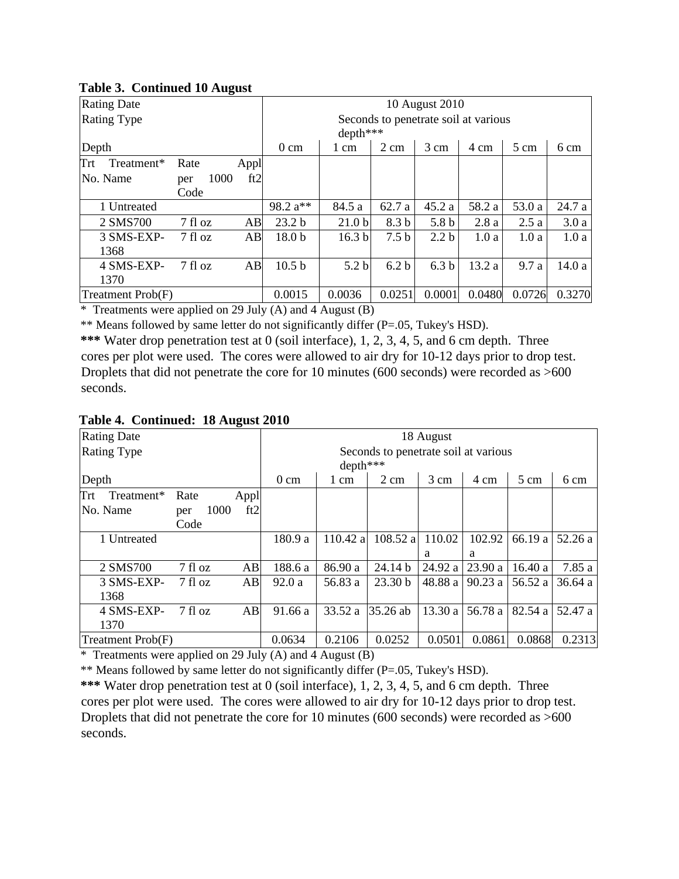## **Table 3. Continued 10 August**

| <b>Rating Date</b> |             |                | 10 August 2010    |                                      |                  |                  |                |        |        |
|--------------------|-------------|----------------|-------------------|--------------------------------------|------------------|------------------|----------------|--------|--------|
| <b>Rating Type</b> |             |                |                   | Seconds to penetrate soil at various |                  |                  |                |        |        |
|                    |             |                |                   | depth***                             |                  |                  |                |        |        |
| Depth              |             | $0 \text{ cm}$ | 1 cm              | $2 \text{ cm}$                       | 3 cm             | 4 cm             | $5 \text{ cm}$ | 6 cm   |        |
| Treatment*<br>Trt  | Rate        | Appl           |                   |                                      |                  |                  |                |        |        |
| No. Name           | 1000<br>per | ft2            |                   |                                      |                  |                  |                |        |        |
|                    | Code        |                |                   |                                      |                  |                  |                |        |        |
| 1 Untreated        |             |                | 98.2 a**          | 84.5 a                               | 62.7 a           | 45.2a            | 58.2 a         | 53.0 a | 24.7 a |
| 2 SMS700           | 7 fl oz     | AB             | 23.2 <sub>b</sub> | 21.0 <sub>b</sub>                    | 8.3 <sub>b</sub> | 5.8 <sub>b</sub> | 2.8a           | 2.5a   | 3.0a   |
| 3 SMS-EXP-         | 7f1oz       | AB             | 18.0 b            | 16.3 <sub>b</sub>                    | 7.5 <sub>b</sub> | 2.2 <sub>b</sub> | 1.0a           | 1.0a   | 1.0a   |
| 1368               |             |                |                   |                                      |                  |                  |                |        |        |
| 4 SMS-EXP-         | $7$ fl oz   | AB             | 10.5 <sub>b</sub> | 5.2 <sub>b</sub>                     | 6.2 <sub>b</sub> | 6.3 <sub>b</sub> | 13.2a          | 9.7 a  | 14.0a  |
| 1370               |             |                |                   |                                      |                  |                  |                |        |        |
| Treatment Prob(F)  |             | 0.0015         | 0.0036            | 0.0251                               | 0.0001           | 0.0480           | 0.0726         | 0.3270 |        |

\* Treatments were applied on 29 July (A) and 4 August (B)

\*\* Means followed by same letter do not significantly differ (P=.05, Tukey's HSD).

**\*\*\*** Water drop penetration test at 0 (soil interface), 1, 2, 3, 4, 5, and 6 cm depth. Three cores per plot were used. The cores were allowed to air dry for 10-12 days prior to drop test. Droplets that did not penetrate the core for 10 minutes (600 seconds) were recorded as >600 seconds.

## **Table 4. Continued: 18 August 2010**

| <b>Rating Date</b> |                   |      | 18 August      |          |                                      |         |         |                |         |
|--------------------|-------------------|------|----------------|----------|--------------------------------------|---------|---------|----------------|---------|
| <b>Rating Type</b> |                   |      |                |          | Seconds to penetrate soil at various |         |         |                |         |
|                    |                   |      |                | depth*** |                                      |         |         |                |         |
| Depth              |                   |      | $0 \text{ cm}$ | 1 cm     | $2 \text{ cm}$                       | 3 cm    | 4 cm    | $5 \text{ cm}$ | 6 cm    |
| Treatment*<br>Trt  | Rate              | Appl |                |          |                                      |         |         |                |         |
| No. Name           | 1000<br>per       | ft2  |                |          |                                      |         |         |                |         |
|                    | Code              |      |                |          |                                      |         |         |                |         |
| 1 Untreated        |                   |      | 180.9 a        | 110.42 a | 108.52 a                             | 110.02  | 102.92  | 66.19 a        | 52.26 a |
|                    |                   |      |                |          |                                      | a       | a       |                |         |
| 2 SMS700           | 7 fl oz           | AB   | 188.6 a        | 86.90 a  | 24.14 b                              | 24.92 a | 23.90 a | 16.40a         | 7.85a   |
| 3 SMS-EXP-         | $7 \text{ fl oz}$ | AB   | 92.0a          | 56.83 a  | 23.30 b                              | 48.88 a | 90.23 a | 56.52 a        | 36.64a  |
| 1368               |                   |      |                |          |                                      |         |         |                |         |
| 4 SMS-EXP-         | $7 \text{ fl oz}$ | AB   | 91.66 a        | 33.52a   | 35.26 ab                             | 13.30a  | 56.78 a | 82.54a         | 52.47 a |
| 1370               |                   |      |                |          |                                      |         |         |                |         |
| Treatment Prob(F)  |                   |      | 0.0634         | 0.2106   | 0.0252                               | 0.0501  | 0.0861  | 0.0868         | 0.2313  |

\* Treatments were applied on 29 July (A) and 4 August (B)

\*\* Means followed by same letter do not significantly differ (P=.05, Tukey's HSD).

**\*\*\*** Water drop penetration test at 0 (soil interface), 1, 2, 3, 4, 5, and 6 cm depth. Three cores per plot were used. The cores were allowed to air dry for 10-12 days prior to drop test. Droplets that did not penetrate the core for 10 minutes (600 seconds) were recorded as >600 seconds.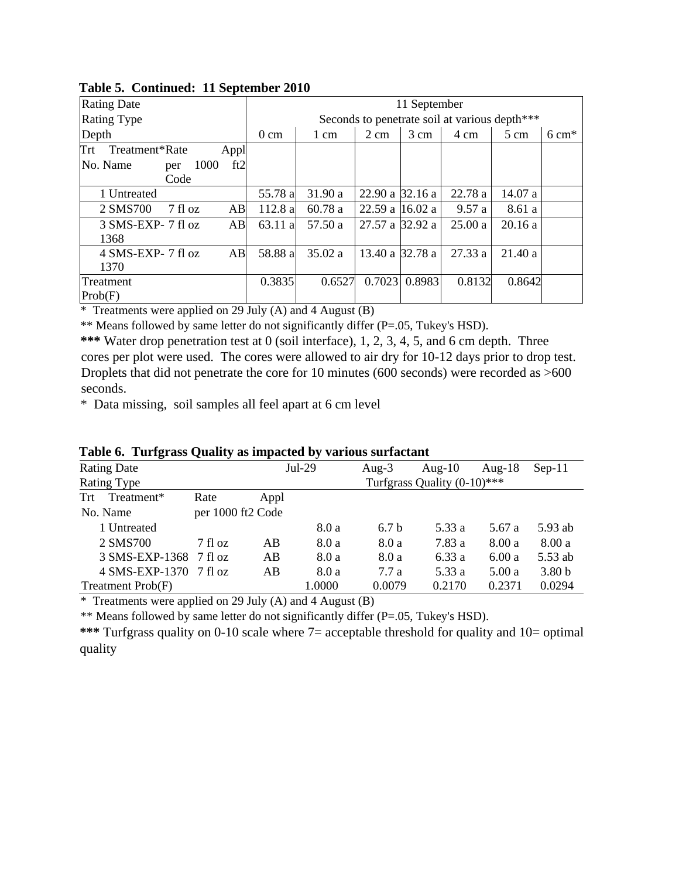| <b>Rating Date</b>             | 11 September   |         |                     |                |                                               |                |                  |
|--------------------------------|----------------|---------|---------------------|----------------|-----------------------------------------------|----------------|------------------|
| Rating Type                    |                |         |                     |                | Seconds to penetrate soil at various depth*** |                |                  |
| Depth                          | $0 \text{ cm}$ | 1 cm    | $2 \text{ cm}$      | $3 \text{ cm}$ | 4 cm                                          | $5 \text{ cm}$ | $6 \text{ cm}^*$ |
| Treatment*Rate<br>Trt<br>Appl  |                |         |                     |                |                                               |                |                  |
| ft2<br>1000<br>No. Name<br>per |                |         |                     |                |                                               |                |                  |
| Code                           |                |         |                     |                |                                               |                |                  |
| 1 Untreated                    | 55.78 a        | 31.90 a | 22.90 a $ 32.16 a $ |                | 22.78 a                                       | 14.07 a        |                  |
| 2 SMS700<br>$7$ fl oz<br>AB    | 112.8 a        | 60.78a  | 22.59 a $ 16.02 a $ |                | 9.57a                                         | 8.61 a         |                  |
| $3$ SMS-EXP- $7$ fl oz<br>AB   | 63.11 al       | 57.50 a | 27.57 a 32.92 a     |                | 25.00a                                        | 20.16a         |                  |
| 1368                           |                |         |                     |                |                                               |                |                  |
| $4$ SMS-EXP- $7$ fl oz<br>AB   | 58.88 a        | 35.02 a | 13.40 a 32.78 a     |                | 27.33 a                                       | 21.40 a        |                  |
| 1370                           |                |         |                     |                |                                               |                |                  |
| Treatment                      | 0.3835         | 0.6527  | 0.7023              | 0.8983         | 0.8132                                        | 0.8642         |                  |
| Prob(F)                        |                |         |                     |                |                                               |                |                  |

**Table 5. Continued: 11 September 2010** 

\* Treatments were applied on 29 July (A) and 4 August (B)

\*\* Means followed by same letter do not significantly differ (P=.05, Tukey's HSD).

**\*\*\*** Water drop penetration test at 0 (soil interface), 1, 2, 3, 4, 5, and 6 cm depth. Three cores per plot were used. The cores were allowed to air dry for 10-12 days prior to drop test. Droplets that did not penetrate the core for 10 minutes (600 seconds) were recorded as >600 seconds.

\* Data missing, soil samples all feel apart at 6 cm level

| <b>Rating Date</b>     | $Jul-29$          | Aug- $3$ | Aug- $10$ | Aug- $18$                   | $Sep-11$ |        |                   |  |
|------------------------|-------------------|----------|-----------|-----------------------------|----------|--------|-------------------|--|
| Rating Type            |                   |          |           | Turfgrass Quality (0-10)*** |          |        |                   |  |
| Treatment*<br>Trt      | Rate              | Appl     |           |                             |          |        |                   |  |
| No. Name               | per 1000 ft2 Code |          |           |                             |          |        |                   |  |
| 1 Untreated            |                   |          | 8.0 a     | 6.7 <sub>b</sub>            | 5.33 a   | 5.67 a | 5.93 ab           |  |
| 2 SMS700               | 7 fl oz           | AB       | 8.0a      | 8.0 a                       | 7.83 a   | 8.00a  | 8.00 a            |  |
| 3 SMS-EXP-1368 7 fl oz |                   | AB       | 8.0 a     | 8.0 a                       | 6.33a    | 6.00a  | 5.53 ab           |  |
| 4 SMS-EXP-1370 7 fl oz |                   | AB       | 8.0a      | 7.7a                        | 5.33 a   | 5.00a  | 3.80 <sub>b</sub> |  |
| Treatment Prob(F)      |                   |          | 1.0000    | 0.0079                      | 0.2170   | 0.2371 | 0.0294            |  |
|                        |                   |          |           |                             |          |        |                   |  |

**Table 6. Turfgrass Quality as impacted by various surfactant** 

\* Treatments were applied on 29 July (A) and 4 August (B)

\*\* Means followed by same letter do not significantly differ (P=.05, Tukey's HSD).

**\*\*\*** Turfgrass quality on 0-10 scale where 7= acceptable threshold for quality and 10= optimal quality